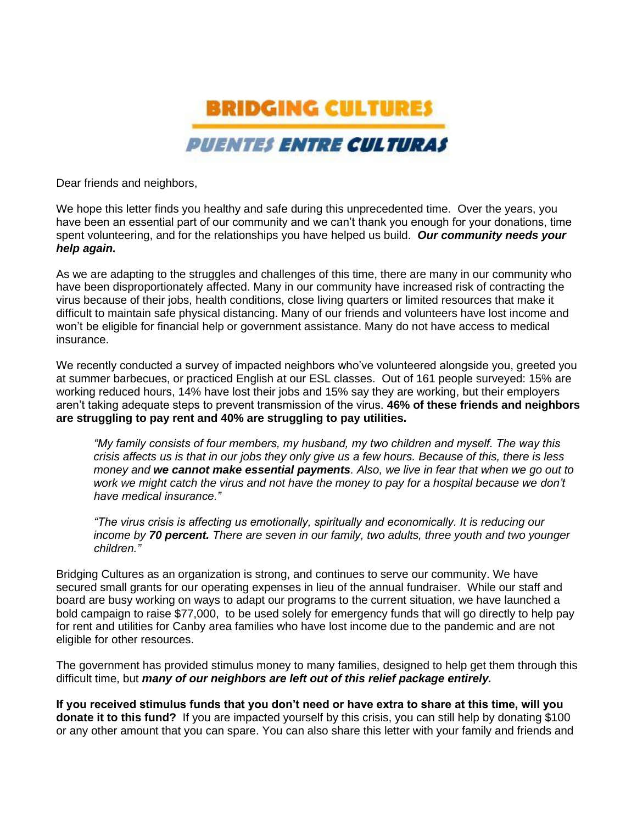

Dear friends and neighbors,

We hope this letter finds you healthy and safe during this unprecedented time. Over the years, you have been an essential part of our community and we can't thank you enough for your donations, time spent volunteering, and for the relationships you have helped us build. *Our community needs your help again.*

As we are adapting to the struggles and challenges of this time, there are many in our community who have been disproportionately affected. Many in our community have increased risk of contracting the virus because of their jobs, health conditions, close living quarters or limited resources that make it difficult to maintain safe physical distancing. Many of our friends and volunteers have lost income and won't be eligible for financial help or government assistance. Many do not have access to medical insurance.

We recently conducted a survey of impacted neighbors who've volunteered alongside you, greeted you at summer barbecues, or practiced English at our ESL classes. Out of 161 people surveyed: 15% are working reduced hours, 14% have lost their jobs and 15% say they are working, but their employers aren't taking adequate steps to prevent transmission of the virus. **46% of these friends and neighbors are struggling to pay rent and 40% are struggling to pay utilities.**

*"My family consists of four members, my husband, my two children and myself. The way this crisis affects us is that in our jobs they only give us a few hours. Because of this, there is less money and we cannot make essential payments. Also, we live in fear that when we go out to work we might catch the virus and not have the money to pay for a hospital because we don't have medical insurance."*

*"The virus crisis is affecting us emotionally, spiritually and economically. It is reducing our income by 70 percent. There are seven in our family, two adults, three youth and two younger children."*

Bridging Cultures as an organization is strong, and continues to serve our community. We have secured small grants for our operating expenses in lieu of the annual fundraiser. While our staff and board are busy working on ways to adapt our programs to the current situation, we have launched a bold campaign to raise \$77,000, to be used solely for emergency funds that will go directly to help pay for rent and utilities for Canby area families who have lost income due to the pandemic and are not eligible for other resources.

The government has provided stimulus money to many families, designed to help get them through this difficult time, but *many of our neighbors are left out of this relief package entirely.*

**If you received stimulus funds that you don't need or have extra to share at this time, will you donate it to this fund?** If you are impacted yourself by this crisis, you can still help by donating \$100 or any other amount that you can spare. You can also share this letter with your family and friends and